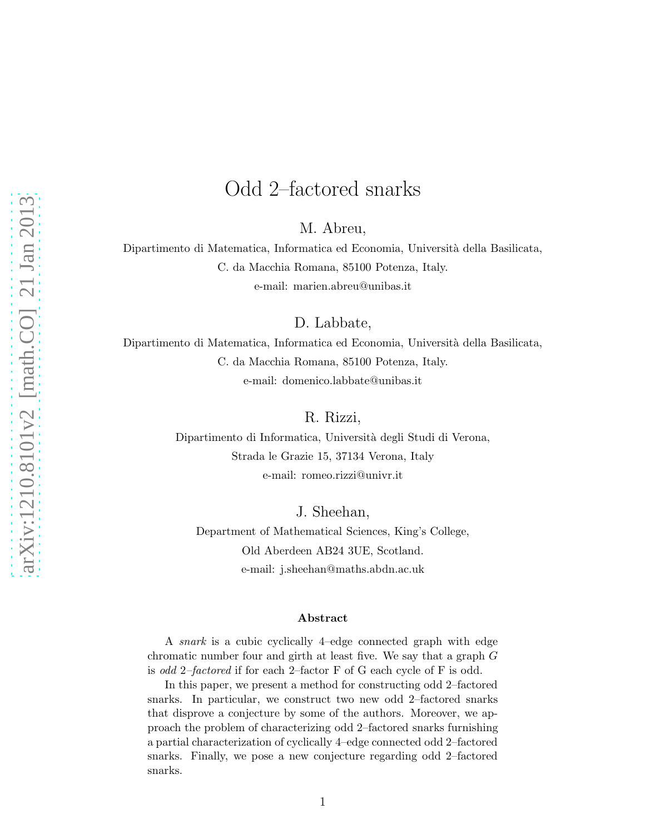# Odd 2–factored snarks

M. Abreu,

Dipartimento di Matematica, Informatica ed Economia, Università della Basilicata, C. da Macchia Romana, 85100 Potenza, Italy. e-mail: marien.abreu@unibas.it

D. Labbate,

Dipartimento di Matematica, Informatica ed Economia, Universit`a della Basilicata, C. da Macchia Romana, 85100 Potenza, Italy. e-mail: domenico.labbate@unibas.it

R. Rizzi,

Dipartimento di Informatica, Università degli Studi di Verona, Strada le Grazie 15, 37134 Verona, Italy e-mail: romeo.rizzi@univr.it

J. Sheehan,

Department of Mathematical Sciences, King's College, Old Aberdeen AB24 3UE, Scotland. e-mail: j.sheehan@maths.abdn.ac.uk

#### Abstract

A snark is a cubic cyclically 4–edge connected graph with edge chromatic number four and girth at least five. We say that a graph G is odd 2–factored if for each 2–factor F of G each cycle of F is odd.

In this paper, we present a method for constructing odd 2–factored snarks. In particular, we construct two new odd 2–factored snarks that disprove a conjecture by some of the authors. Moreover, we approach the problem of characterizing odd 2–factored snarks furnishing a partial characterization of cyclically 4–edge connected odd 2–factored snarks. Finally, we pose a new conjecture regarding odd 2–factored snarks.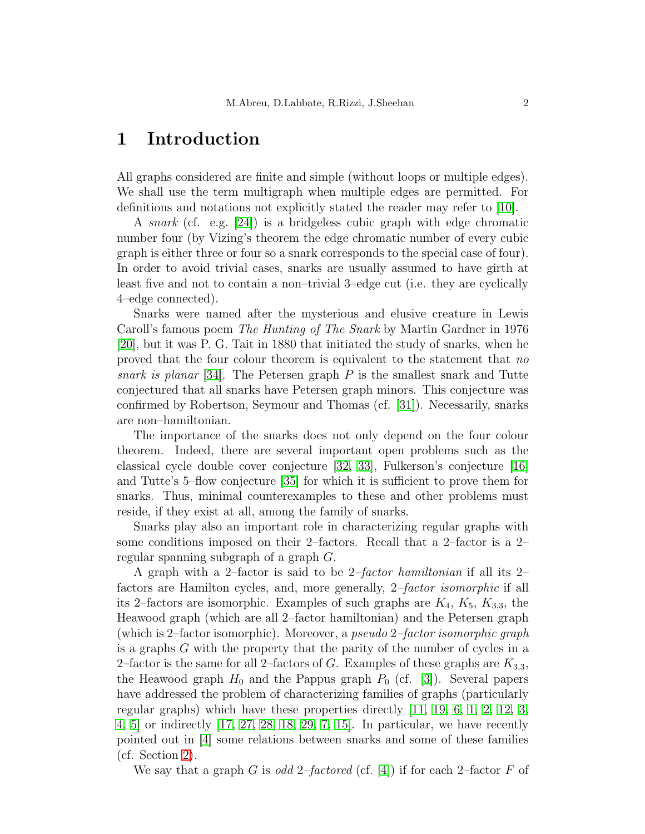### 1 Introduction

All graphs considered are finite and simple (without loops or multiple edges). We shall use the term multigraph when multiple edges are permitted. For definitions and notations not explicitly stated the reader may refer to [\[10\]](#page-18-0).

A snark (cf. e.g. [\[24\]](#page-19-0)) is a bridgeless cubic graph with edge chromatic number four (by Vizing's theorem the edge chromatic number of every cubic graph is either three or four so a snark corresponds to the special case of four). In order to avoid trivial cases, snarks are usually assumed to have girth at least five and not to contain a non–trivial 3–edge cut (i.e. they are cyclically 4–edge connected).

Snarks were named after the mysterious and elusive creature in Lewis Caroll's famous poem The Hunting of The Snark by Martin Gardner in 1976 [\[20\]](#page-19-1), but it was P. G. Tait in 1880 that initiated the study of snarks, when he proved that the four colour theorem is equivalent to the statement that no snark is planar [\[34\]](#page-20-0). The Petersen graph  $P$  is the smallest snark and Tutte conjectured that all snarks have Petersen graph minors. This conjecture was confirmed by Robertson, Seymour and Thomas (cf. [\[31\]](#page-19-2)). Necessarily, snarks are non–hamiltonian.

The importance of the snarks does not only depend on the four colour theorem. Indeed, there are several important open problems such as the classical cycle double cover conjecture [\[32,](#page-19-3) [33\]](#page-19-4), Fulkerson's conjecture [\[16\]](#page-18-1) and Tutte's 5–flow conjecture [\[35\]](#page-20-1) for which it is sufficient to prove them for snarks. Thus, minimal counterexamples to these and other problems must reside, if they exist at all, among the family of snarks.

Snarks play also an important role in characterizing regular graphs with some conditions imposed on their 2–factors. Recall that a 2–factor is a 2– regular spanning subgraph of a graph G.

A graph with a 2–factor is said to be 2–factor hamiltonian if all its 2– factors are Hamilton cycles, and, more generally, 2–factor isomorphic if all its 2–factors are isomorphic. Examples of such graphs are  $K_4$ ,  $K_5$ ,  $K_{3,3}$ , the Heawood graph (which are all 2–factor hamiltonian) and the Petersen graph (which is 2–factor isomorphic). Moreover, a pseudo 2–factor isomorphic graph is a graphs G with the property that the parity of the number of cycles in a 2–factor is the same for all 2–factors of G. Examples of these graphs are  $K_{3,3}$ , the Heawood graph  $H_0$  and the Pappus graph  $P_0$  (cf. [\[3\]](#page-18-2)). Several papers have addressed the problem of characterizing families of graphs (particularly regular graphs) which have these properties directly [\[11,](#page-18-3) [19,](#page-19-5) [6,](#page-18-4) [1,](#page-17-0) [2,](#page-18-5) [12,](#page-18-6) [3,](#page-18-2) [4,](#page-18-7) [5\]](#page-18-8) or indirectly [\[17,](#page-19-6) [27,](#page-19-7) [28,](#page-19-8) [18,](#page-19-9) [29,](#page-19-10) [7,](#page-18-9) [15\]](#page-18-10). In particular, we have recently pointed out in [\[4\]](#page-18-7) some relations between snarks and some of these families (cf. Section [2\)](#page-2-0).

We say that a graph G is odd 2-factored (cf. [\[4\]](#page-18-7)) if for each 2-factor F of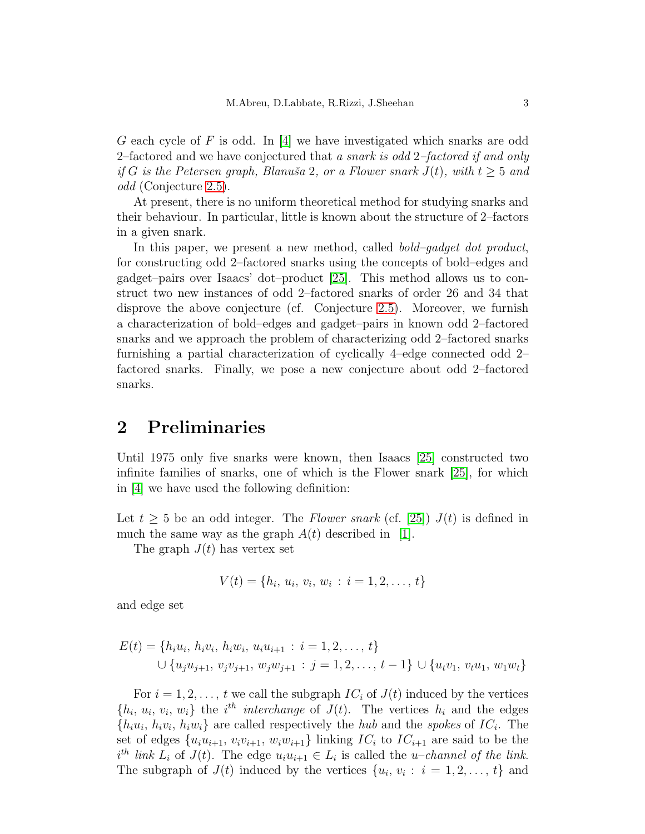G each cycle of F is odd. In  $[4]$  we have investigated which snarks are odd 2–factored and we have conjectured that a snark is odd 2–factored if and only if G is the Petersen graph, Blanuša 2, or a Flower snark  $J(t)$ , with  $t \geq 5$  and odd (Conjecture [2.5\)](#page-4-0).

At present, there is no uniform theoretical method for studying snarks and their behaviour. In particular, little is known about the structure of 2–factors in a given snark.

In this paper, we present a new method, called *bold–gadget dot product*, for constructing odd 2–factored snarks using the concepts of bold–edges and gadget–pairs over Isaacs' dot–product [\[25\]](#page-19-11). This method allows us to construct two new instances of odd 2–factored snarks of order 26 and 34 that disprove the above conjecture (cf. Conjecture [2.5\)](#page-4-0). Moreover, we furnish a characterization of bold–edges and gadget–pairs in known odd 2–factored snarks and we approach the problem of characterizing odd 2–factored snarks furnishing a partial characterization of cyclically 4–edge connected odd 2– factored snarks. Finally, we pose a new conjecture about odd 2–factored snarks.

### <span id="page-2-0"></span>2 Preliminaries

Until 1975 only five snarks were known, then Isaacs [\[25\]](#page-19-11) constructed two infinite families of snarks, one of which is the Flower snark [\[25\]](#page-19-11), for which in [\[4\]](#page-18-7) we have used the following definition:

Let  $t \geq 5$  be an odd integer. The Flower snark (cf. [\[25\]](#page-19-11))  $J(t)$  is defined in much the same way as the graph  $A(t)$  described in [\[1\]](#page-17-0).

The graph  $J(t)$  has vertex set

$$
V(t) = \{h_i, u_i, v_i, w_i : i = 1, 2, \dots, t\}
$$

and edge set

$$
E(t) = \{h_i u_i, h_i v_i, h_i w_i, u_i u_{i+1} : i = 1, 2, ..., t\}
$$
  

$$
\cup \{u_j u_{j+1}, v_j v_{j+1}, w_j w_{j+1} : j = 1, 2, ..., t-1\} \cup \{u_t v_1, v_t u_1, w_1 w_t\}
$$

For  $i = 1, 2, \ldots, t$  we call the subgraph  $IC_i$  of  $J(t)$  induced by the vertices  $\{h_i, u_i, v_i, w_i\}$  the i<sup>th</sup> interchange of  $J(t)$ . The vertices  $h_i$  and the edges  $\{h_i u_i, h_i v_i, h_i w_i\}$  are called respectively the *hub* and the *spokes* of  $IC_i$ . The set of edges  $\{u_iu_{i+1}, v_iv_{i+1}, w_iw_{i+1}\}\$ linking  $IC_i$  to  $IC_{i+1}$  are said to be the  $i^{th}$  link  $L_i$  of  $J(t)$ . The edge  $u_i u_{i+1} \in L_i$  is called the u-channel of the link. The subgraph of  $J(t)$  induced by the vertices  $\{u_i, v_i : i = 1, 2, ..., t\}$  and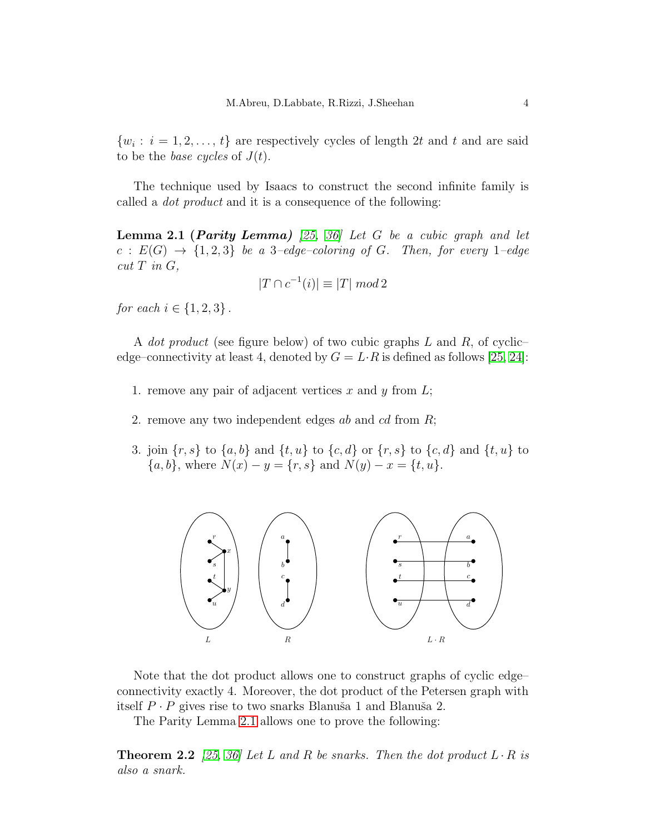$\{w_i : i = 1, 2, \ldots, t\}$  are respectively cycles of length 2t and t and are said to be the *base cycles* of  $J(t)$ .

<span id="page-3-0"></span>The technique used by Isaacs to construct the second infinite family is called a dot product and it is a consequence of the following:

**Lemma 2.1 (Parity Lemma)** [\[25,](#page-19-11) [36\]](#page-20-2) Let G be a cubic graph and let  $c: E(G) \rightarrow \{1,2,3\}$  be a 3-edge-coloring of G. Then, for every 1-edge  $cut T$  in  $G$ ,

$$
|T \cap c^{-1}(i)| \equiv |T| \mod 2
$$

for each  $i \in \{1, 2, 3\}$ .

A *dot product* (see figure below) of two cubic graphs  $L$  and  $R$ , of cyclicedge–connectivity at least 4, denoted by  $G = L \cdot R$  is defined as follows [\[25,](#page-19-11) [24\]](#page-19-0):

- 1. remove any pair of adjacent vertices x and y from  $L$ ;
- 2. remove any two independent edges ab and cd from R;
- 3. join  $\{r, s\}$  to  $\{a, b\}$  and  $\{t, u\}$  to  $\{c, d\}$  or  $\{r, s\}$  to  $\{c, d\}$  and  $\{t, u\}$  to  ${a, b}$ , where  $N(x) - y = {r, s}$  and  $N(y) - x = {t, u}$ .



Note that the dot product allows one to construct graphs of cyclic edge– connectivity exactly 4. Moreover, the dot product of the Petersen graph with itself  $P \cdot P$  gives rise to two snarks Blanuša 1 and Blanuša 2.

<span id="page-3-1"></span>The Parity Lemma [2.1](#page-3-0) allows one to prove the following:

**Theorem 2.2** [\[25,](#page-19-11) [36\]](#page-20-2) Let L and R be snarks. Then the dot product  $L \cdot R$  is also a snark.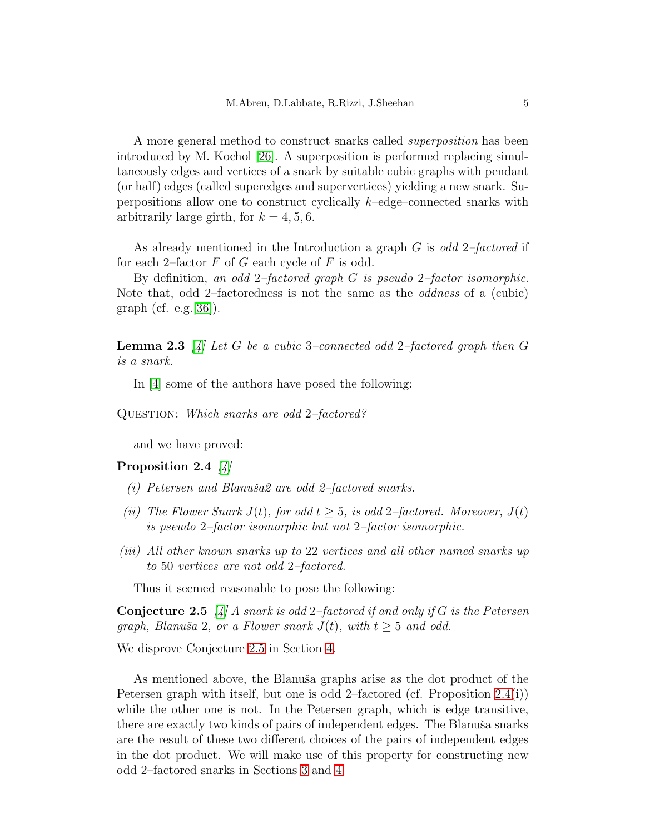A more general method to construct snarks called superposition has been introduced by M. Kochol [\[26\]](#page-19-12). A superposition is performed replacing simultaneously edges and vertices of a snark by suitable cubic graphs with pendant (or half) edges (called superedges and supervertices) yielding a new snark. Superpositions allow one to construct cyclically k–edge–connected snarks with arbitrarily large girth, for  $k = 4, 5, 6$ .

As already mentioned in the Introduction a graph  $G$  is odd 2-factored if for each 2–factor  $F$  of  $G$  each cycle of  $F$  is odd.

By definition, an odd 2–factored graph G is pseudo 2–factor isomorphic. Note that, odd 2–factoredness is not the same as the oddness of a (cubic) graph (cf. e.g.  $[36]$ ).

<span id="page-4-2"></span>**Lemma 2.3** [\[4\]](#page-18-7) Let G be a cubic 3-connected odd 2-factored graph then G is a snark.

In [\[4\]](#page-18-7) some of the authors have posed the following:

QUESTION: Which snarks are odd 2-factored?

<span id="page-4-1"></span>and we have proved:

#### Proposition 2.4  $\frac{1}{4}$

- (i) Petersen and Blanuša2 are odd 2-factored snarks.
- (ii) The Flower Snark  $J(t)$ , for odd  $t \geq 5$ , is odd 2–factored. Moreover,  $J(t)$ is pseudo 2–factor isomorphic but not 2–factor isomorphic.
- (iii) All other known snarks up to 22 vertices and all other named snarks up to 50 vertices are not odd 2–factored.

<span id="page-4-0"></span>Thus it seemed reasonable to pose the following:

**Conjecture 2.5** [\[4\]](#page-18-7) A snark is odd 2-factored if and only if G is the Petersen graph, Blanuša 2, or a Flower snark  $J(t)$ , with  $t \geq 5$  and odd.

We disprove Conjecture [2.5](#page-4-0) in Section [4.](#page-10-0)

As mentioned above, the Blanuša graphs arise as the dot product of the Petersen graph with itself, but one is odd 2–factored (cf. Proposition [2.4\(](#page-4-1)i)) while the other one is not. In the Petersen graph, which is edge transitive, there are exactly two kinds of pairs of independent edges. The Blanuša snarks are the result of these two different choices of the pairs of independent edges in the dot product. We will make use of this property for constructing new odd 2–factored snarks in Sections [3](#page-5-0) and [4.](#page-10-0)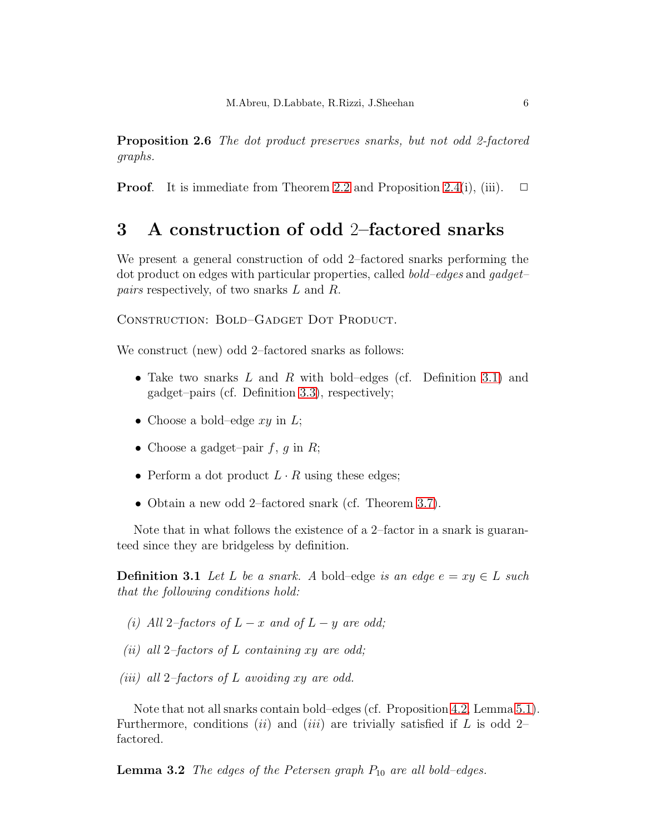**Proposition 2.6** The dot product preserves snarks, but not odd 2-factored graphs.

**Proof.** It is immediate from Theorem [2.2](#page-3-1) and Proposition [2.4\(](#page-4-1)i), (iii).  $\Box$ 

## <span id="page-5-0"></span>3 A construction of odd 2–factored snarks

We present a general construction of odd 2–factored snarks performing the dot product on edges with particular properties, called bold–edges and gadget– pairs respectively, of two snarks L and R.

CONSTRUCTION: BOLD–GADGET DOT PRODUCT.

We construct (new) odd 2–factored snarks as follows:

- Take two snarks  $L$  and  $R$  with bold–edges (cf. Definition [3.1\)](#page-5-1) and gadget–pairs (cf. Definition [3.3\)](#page-6-0), respectively;
- Choose a bold–edge  $xy$  in  $L$ ;
- Choose a gadget–pair  $f, g$  in  $R$ ;
- Perform a dot product  $L \cdot R$  using these edges;
- Obtain a new odd 2–factored snark (cf. Theorem [3.7\)](#page-7-0).

<span id="page-5-1"></span>Note that in what follows the existence of a 2–factor in a snark is guaranteed since they are bridgeless by definition.

**Definition 3.1** Let L be a snark. A bold–edge is an edge  $e = xy \in L$  such that the following conditions hold:

- (i) All 2–factors of  $L x$  and of  $L y$  are odd;
- (ii) all 2-factors of L containing xy are odd;
- (iii) all 2-factors of L avoiding xy are odd.

<span id="page-5-2"></span>Note that not all snarks contain bold–edges (cf. Proposition [4.2,](#page-12-0) Lemma [5.1\)](#page-13-0). Furthermore, conditions *(ii)* and *(iii)* are trivially satisfied if L is odd 2– factored.

**Lemma 3.2** The edges of the Petersen graph  $P_{10}$  are all bold–edges.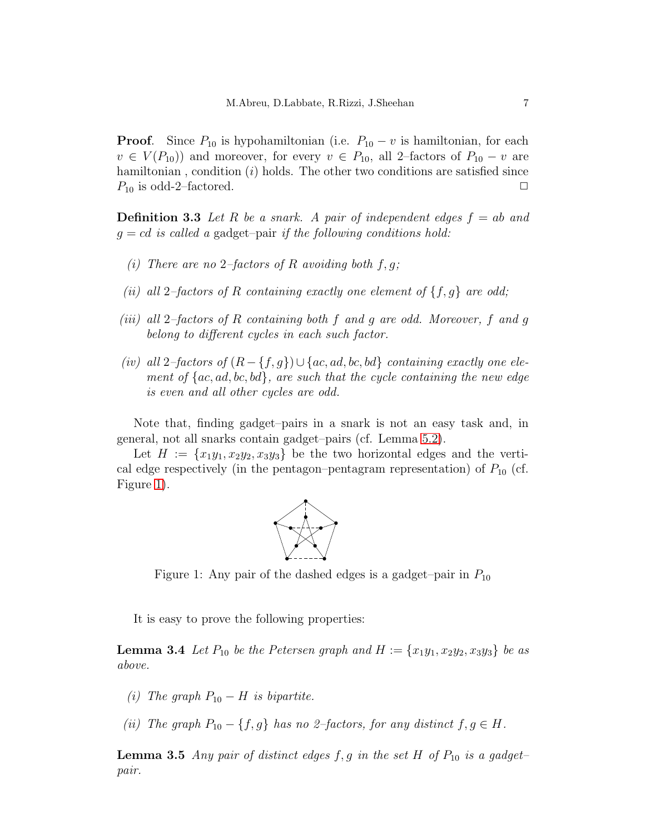**Proof.** Since  $P_{10}$  is hypohamiltonian (i.e.  $P_{10} - v$  is hamiltonian, for each  $v \in V(P_{10})$  and moreover, for every  $v \in P_{10}$ , all 2–factors of  $P_{10} - v$  are hamiltonian, condition  $(i)$  holds. The other two conditions are satisfied since  $P_{10}$  is odd-2–factored.  $\Box$ 

<span id="page-6-0"></span>**Definition 3.3** Let R be a snark. A pair of independent edges  $f = ab$  and  $g = cd$  is called a gadget-pair if the following conditions hold:

- (i) There are no 2-factors of R avoiding both  $f, q$ ;
- (ii) all 2-factors of R containing exactly one element of  $\{f, g\}$  are odd;
- (iii) all 2–factors of R containing both f and g are odd. Moreover, f and g belong to different cycles in each such factor.
- (iv) all 2–factors of  $(R \{f, g\}) \cup \{ac, ad, bc, bd\}$  containing exactly one element of  ${ac, ad, bc, bd}$ , are such that the cycle containing the new edge is even and all other cycles are odd.

Note that, finding gadget–pairs in a snark is not an easy task and, in general, not all snarks contain gadget–pairs (cf. Lemma [5.2\)](#page-13-1).

Let  $H := \{x_1y_1, x_2y_2, x_3y_3\}$  be the two horizontal edges and the vertical edge respectively (in the pentagon–pentagram representation) of  $P_{10}$  (cf. Figure [1\)](#page-6-1).



<span id="page-6-1"></span>Figure 1: Any pair of the dashed edges is a gadget–pair in  $P_{10}$ 

It is easy to prove the following properties:

**Lemma 3.4** Let  $P_{10}$  be the Petersen graph and  $H := \{x_1y_1, x_2y_2, x_3y_3\}$  be as above.

- (i) The graph  $P_{10} H$  is bipartite.
- (ii) The graph  $P_{10} \{f, g\}$  has no 2–factors, for any distinct  $f, g \in H$ .

<span id="page-6-2"></span>**Lemma 3.5** Any pair of distinct edges f, g in the set H of  $P_{10}$  is a gadgetpair.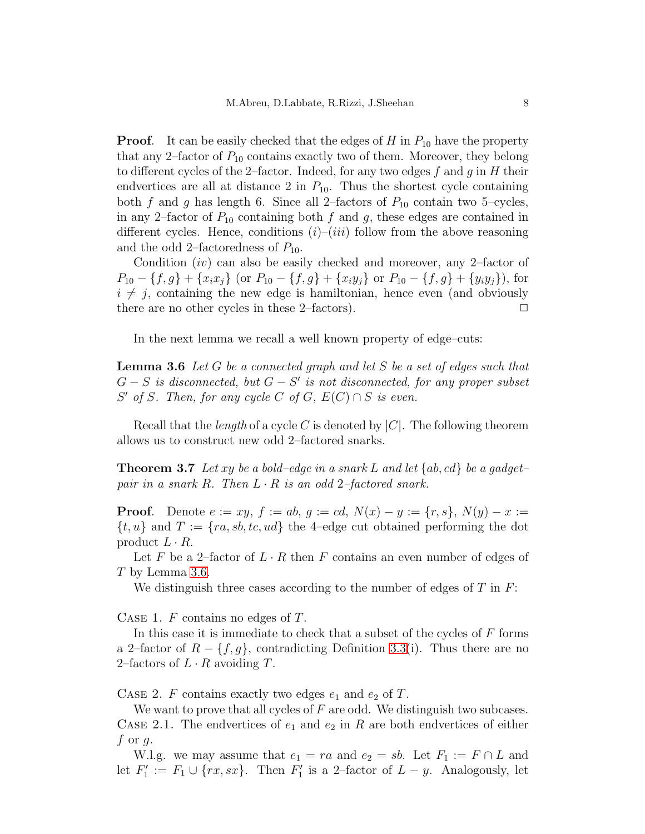**Proof.** It can be easily checked that the edges of H in  $P_{10}$  have the property that any 2–factor of  $P_{10}$  contains exactly two of them. Moreover, they belong to different cycles of the 2–factor. Indeed, for any two edges f and g in H their endvertices are all at distance 2 in  $P_{10}$ . Thus the shortest cycle containing both f and g has length 6. Since all 2-factors of  $P_{10}$  contain two 5-cycles, in any 2-factor of  $P_{10}$  containing both f and g, these edges are contained in different cycles. Hence, conditions  $(i)-(iii)$  follow from the above reasoning and the odd 2–factoredness of  $P_{10}$ .

Condition  $(iv)$  can also be easily checked and moreover, any 2-factor of  $P_{10} - \{f, g\} + \{x_i x_j\}$  (or  $P_{10} - \{f, g\} + \{x_i y_j\}$  or  $P_{10} - \{f, g\} + \{y_i y_j\}$ ), for  $i \neq j$ , containing the new edge is hamiltonian, hence even (and obviously there are no other cycles in these 2–factors).  $\Box$ 

<span id="page-7-1"></span>In the next lemma we recall a well known property of edge–cuts:

**Lemma 3.6** Let G be a connected graph and let S be a set of edges such that  $G-S$  is disconnected, but  $G-S'$  is not disconnected, for any proper subset S' of S. Then, for any cycle C of G,  $E(C) \cap S$  is even.

<span id="page-7-0"></span>Recall that the *length* of a cycle C is denoted by  $|C|$ . The following theorem allows us to construct new odd 2–factored snarks.

**Theorem 3.7** Let xy be a bold–edge in a snark L and let  $\{ab, cd\}$  be a gadget– pair in a snark R. Then  $L \cdot R$  is an odd 2-factored snark.

**Proof.** Denote  $e := xy$ ,  $f := ab$ ,  $g := cd$ ,  $N(x) - y := \{r, s\}$ ,  $N(y) - x :=$  $\{t, u\}$  and  $T := \{ra, sb, tc, ud\}$  the 4-edge cut obtained performing the dot product  $L \cdot R$ .

Let F be a 2-factor of  $L \cdot R$  then F contains an even number of edges of T by Lemma [3.6.](#page-7-1)

We distinguish three cases according to the number of edges of  $T$  in  $F$ :

CASE 1.  $F$  contains no edges of  $T$ .

In this case it is immediate to check that a subset of the cycles of  $F$  forms a 2–factor of  $R - \{f, g\}$ , contradicting Definition [3.3\(](#page-6-0)i). Thus there are no 2–factors of  $L \cdot R$  avoiding  $T$ .

CASE 2. F contains exactly two edges  $e_1$  and  $e_2$  of T.

We want to prove that all cycles of  $F$  are odd. We distinguish two subcases. CASE 2.1. The endvertices of  $e_1$  and  $e_2$  in R are both endvertices of either  $f$  or  $g$ .

W.l.g. we may assume that  $e_1 = ra$  and  $e_2 = sb$ . Let  $F_1 := F \cap L$  and let  $F_1'$  $T_1' := F_1 \cup \{ rx, sx \}.$  Then  $F_1'$  $y'_1$  is a 2-factor of  $L - y$ . Analogously, let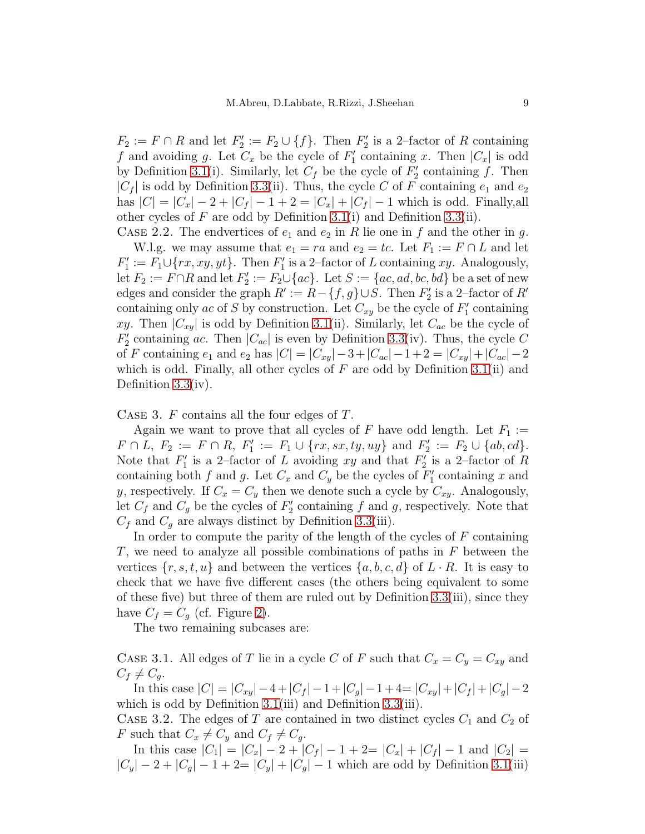$F_2 := F \cap R$  and let  $F'_2$  $Z_2' := F_2 \cup \{f\}$ . Then  $F_2'$  $y_2$  is a 2-factor of R containing f and avoiding g. Let  $C_x$  be the cycle of  $F'_1$  $C'_1$  containing x. Then  $|C_x|$  is odd by Definition [3.1\(](#page-5-1)i). Similarly, let  $C_f$  be the cycle of  $F_2'$  $y_2'$  containing f. Then  $|C_f|$  is odd by Definition [3.3\(](#page-6-0)ii). Thus, the cycle C of F containing  $e_1$  and  $e_2$ has  $|C| = |C_x| - 2 + |C_f| - 1 + 2 = |C_x| + |C_f| - 1$  which is odd. Finally, all other cycles of F are odd by Definition [3.1\(](#page-5-1)i) and Definition [3.3\(](#page-6-0)ii).

CASE 2.2. The endvertices of  $e_1$  and  $e_2$  in R lie one in f and the other in g. W.l.g. we may assume that  $e_1 = ra$  and  $e_2 = tc$ . Let  $F_1 := F \cap L$  and let  $F_1'$  $T_1' := F_1 \cup \{ rx, xy, yt \}.$  Then  $F_1'$  $y_1$  is a 2-factor of L containing xy. Analogously, let  $F_2 := F \cap R$  and let  $F'_2$  $Z_2' := F_2 \cup \{ac\}$ . Let  $S := \{ac, ad, bc, bd\}$  be a set of new edges and consider the graph  $R' := R - \{f, g\} \cup S$ . Then  $F_2'$  $\frac{1}{2}$  is a 2-factor of  $R'$ containing only ac of S by construction. Let  $C_{xy}$  be the cycle of  $F'_1$  $j_1$  containing xy. Then  $|C_{xy}|$  is odd by Definition [3.1\(](#page-5-1)ii). Similarly, let  $C_{ac}$  be the cycle of  $\tilde{F_2'}$ <sup>2</sup> containing ac. Then  $|C_{ac}|$  is even by Definition [3.3\(](#page-6-0)iv). Thus, the cycle C of F containing  $e_1$  and  $e_2$  has  $|C| = |C_{xy}|-3+|C_{ac}|-1+2=|C_{xy}|+|C_{ac}|-2$ which is odd. Finally, all other cycles of  $F$  are odd by Definition [3.1\(](#page-5-1)ii) and Definition [3.3\(](#page-6-0)iv).

Case 3. F contains all the four edges of T.

Again we want to prove that all cycles of F have odd length. Let  $F_1 :=$  $F \cap L$ ,  $F_2 := F \cap R$ ,  $F'_1$  $T_1' := F_1 \cup \{rx, sx, ty, uy\}$  and  $F_2'$  $Z'_2 := F_2 \cup \{ab, cd\}.$ Note that  $F_1'$  $T_1'$  is a 2-factor of L avoiding xy and that  $F_2'$  $y_2'$  is a 2-factor of R containing both f and g. Let  $C_x$  and  $C_y$  be the cycles of  $F'_1$  $y_1$  containing x and y, respectively. If  $C_x = C_y$  then we denote such a cycle by  $C_{xy}$ . Analogously, let  $C_f$  and  $C_g$  be the cycles of  $F'_2$  $y_2'$  containing f and g, respectively. Note that  $C_f$  and  $C_g$  are always distinct by Definition [3.3\(](#page-6-0)iii).

In order to compute the parity of the length of the cycles of  $F$  containing T, we need to analyze all possible combinations of paths in  $F$  between the vertices  $\{r, s, t, u\}$  and between the vertices  $\{a, b, c, d\}$  of  $L \cdot R$ . It is easy to check that we have five different cases (the others being equivalent to some of these five) but three of them are ruled out by Definition [3.3\(](#page-6-0)iii), since they have  $C_f = C_q$  (cf. Figure [2\)](#page-9-0).

The two remaining subcases are:

CASE 3.1. All edges of T lie in a cycle C of F such that  $C_x = C_y = C_{xy}$  and  $C_f \neq C_q$ .

In this case  $|C| = |C_{xy}| - 4 + |C_f| - 1 + |C_g| - 1 + 4 = |C_{xy}| + |C_f| + |C_g| - 2$ which is odd by Definition [3.1\(](#page-5-1)iii) and Definition [3.3\(](#page-6-0)iii).

CASE 3.2. The edges of T are contained in two distinct cycles  $C_1$  and  $C_2$  of F such that  $C_x \neq C_y$  and  $C_f \neq C_q$ .

In this case  $|C_1| = |C_x| - 2 + |C_f| - 1 + 2 = |C_x| + |C_f| - 1$  and  $|C_2| =$  $|C_y| - 2 + |C_a| - 1 + 2 = |C_y| + |C_a| - 1$  which are odd by Definition [3.1\(](#page-5-1)iii)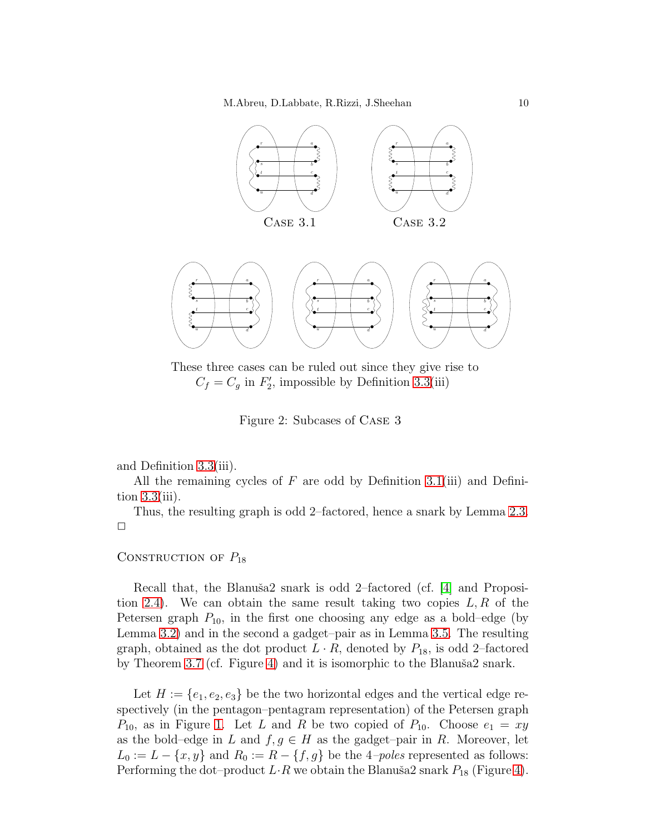

These three cases can be ruled out since they give rise to  $C_f = C_g$  in  $F'_2$  $2'$ , impossible by Definition  $3.3(iii)$ 

<span id="page-9-0"></span>Figure 2: Subcases of Case 3

and Definition [3.3\(](#page-6-0)iii).

All the remaining cycles of  $F$  are odd by Definition [3.1\(](#page-5-1)iii) and Definition  $3.3(iii)$ .

Thus, the resulting graph is odd 2–factored, hence a snark by Lemma [2.3.](#page-4-2)  $\Box$ 

#### CONSTRUCTION OF  $P_{18}$

Recall that, the Blanuša2 snark is odd 2–factored (cf.  $[4]$  and Proposi-tion [2.4\)](#page-4-1). We can obtain the same result taking two copies  $L, R$  of the Petersen graph  $P_{10}$ , in the first one choosing any edge as a bold–edge (by Lemma [3.2\)](#page-5-2) and in the second a gadget–pair as in Lemma [3.5.](#page-6-2) The resulting graph, obtained as the dot product  $L \cdot R$ , denoted by  $P_{18}$ , is odd 2–factored by Theorem [3.7](#page-7-0) (cf. Figure [4\)](#page-10-1) and it is isomorphic to the Blanuša2 snark.

Let  $H := \{e_1, e_2, e_3\}$  be the two horizontal edges and the vertical edge respectively (in the pentagon–pentagram representation) of the Petersen graph  $P_{10}$ , as in Figure [1.](#page-6-1) Let L and R be two copied of  $P_{10}$ . Choose  $e_1 = xy$ as the bold–edge in L and  $f, g \in H$  as the gadget–pair in R. Moreover, let  $L_0 := L - \{x, y\}$  and  $R_0 := R - \{f, g\}$  be the 4*-poles* represented as follows: Performing the dot–product  $L\cdot R$  we obtain the Blanuša2 snark  $P_{18}$  (Figure [4\)](#page-10-1).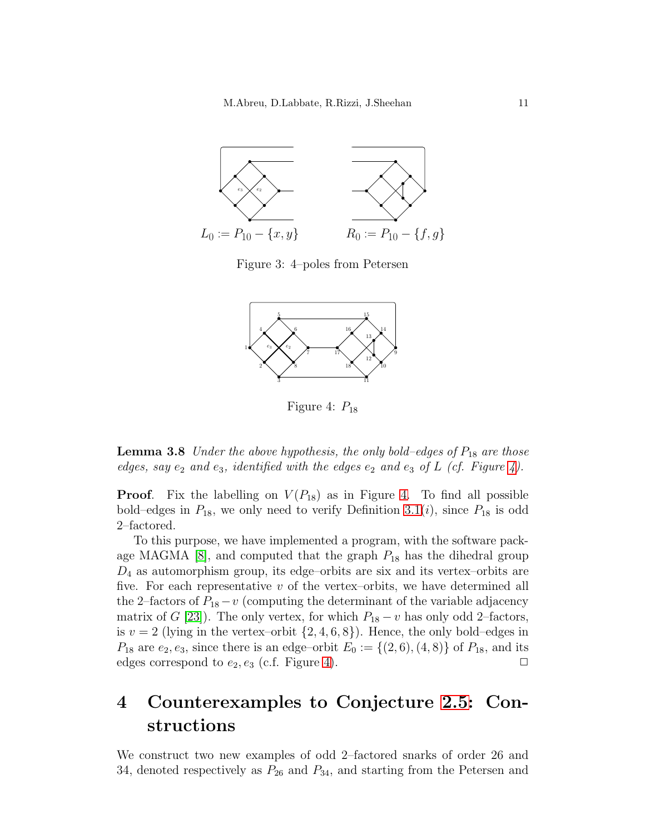

Figure 3: 4–poles from Petersen



<span id="page-10-1"></span>Figure 4:  $P_{18}$ 

<span id="page-10-2"></span>**Lemma 3.8** Under the above hypothesis, the only bold–edges of  $P_{18}$  are those edges, say  $e_2$  and  $e_3$ , identified with the edges  $e_2$  and  $e_3$  of L (cf. Figure [4\)](#page-10-1).

**Proof.** Fix the labelling on  $V(P_{18})$  as in Figure [4.](#page-10-1) To find all possible bold–edges in  $P_{18}$ , we only need to verify Definition [3.1\(](#page-5-1)*i*), since  $P_{18}$  is odd 2–factored.

To this purpose, we have implemented a program, with the software package MAGMA  $[8]$ , and computed that the graph  $P_{18}$  has the dihedral group  $D_4$  as automorphism group, its edge-orbits are six and its vertex-orbits are five. For each representative  $v$  of the vertex–orbits, we have determined all the 2–factors of  $P_{18}-v$  (computing the determinant of the variable adjacency matrix of G [\[23\]](#page-19-13)). The only vertex, for which  $P_{18} - v$  has only odd 2–factors, is  $v = 2$  (lying in the vertex-orbit  $\{2, 4, 6, 8\}$ ). Hence, the only bold–edges in  $P_{18}$  are  $e_2, e_3$ , since there is an edge–orbit  $E_0 := \{(2,6), (4,8)\}\$  of  $P_{18}$ , and its edges correspond to  $e_2, e_3$  (c.f. Figure [4\)](#page-10-1).

# <span id="page-10-0"></span>4 Counterexamples to Conjecture [2.5:](#page-4-0) Constructions

We construct two new examples of odd 2–factored snarks of order 26 and 34, denoted respectively as  $P_{26}$  and  $P_{34}$ , and starting from the Petersen and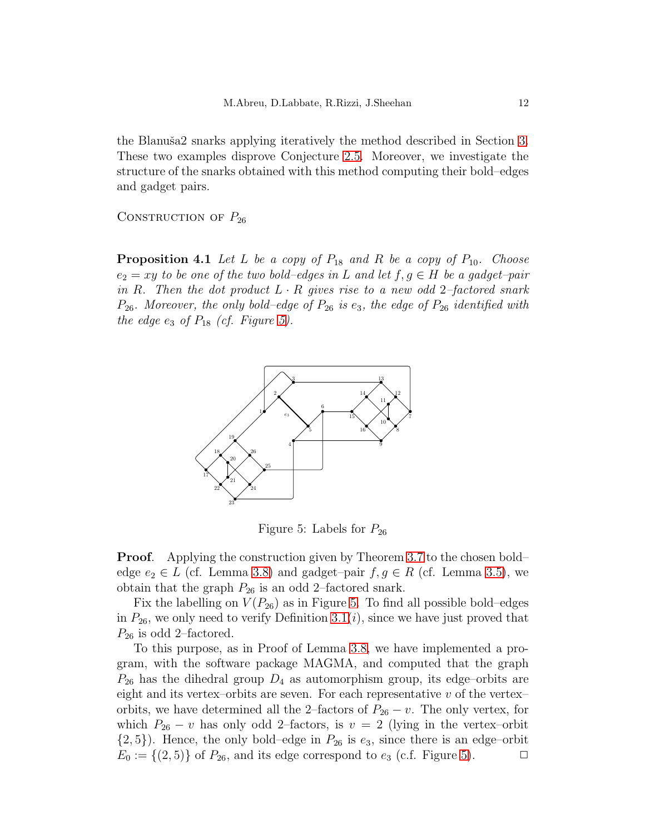the Blanuša2 snarks applying iteratively the method described in Section [3.](#page-5-0) These two examples disprove Conjecture [2.5.](#page-4-0) Moreover, we investigate the structure of the snarks obtained with this method computing their bold–edges and gadget pairs.

<span id="page-11-1"></span>CONSTRUCTION OF  $P_{26}$ 

**Proposition 4.1** Let L be a copy of  $P_{18}$  and R be a copy of  $P_{10}$ . Choose  $e_2 = xy$  to be one of the two bold–edges in L and let  $f, g \in H$  be a gadget–pair in R. Then the dot product  $L \cdot R$  gives rise to a new odd 2-factored snark  $P_{26}$ . Moreover, the only bold–edge of  $P_{26}$  is e<sub>3</sub>, the edge of  $P_{26}$  identified with the edge  $e_3$  of  $P_{18}$  (cf. Figure [5\)](#page-11-0).



<span id="page-11-0"></span>Figure 5: Labels for  $P_{26}$ 

**Proof.** Applying the construction given by Theorem [3.7](#page-7-0) to the chosen bold– edge  $e_2 \in L$  (cf. Lemma [3.8\)](#page-10-2) and gadget–pair  $f, g \in R$  (cf. Lemma [3.5\)](#page-6-2), we obtain that the graph  $P_{26}$  is an odd 2–factored snark.

Fix the labelling on  $V(P_{26})$  as in Figure [5.](#page-11-0) To find all possible bold–edges in  $P_{26}$ , we only need to verify Definition [3.1\(](#page-5-1)*i*), since we have just proved that  $P_{26}$  is odd 2–factored.

To this purpose, as in Proof of Lemma [3.8,](#page-10-2) we have implemented a program, with the software package MAGMA, and computed that the graph  $P_{26}$  has the dihedral group  $D_4$  as automorphism group, its edge–orbits are eight and its vertex–orbits are seven. For each representative  $v$  of the vertex– orbits, we have determined all the 2–factors of  $P_{26} - v$ . The only vertex, for which  $P_{26} - v$  has only odd 2–factors, is  $v = 2$  (lying in the vertex–orbit  $\{2, 5\}$ ). Hence, the only bold–edge in  $P_{26}$  is  $e_3$ , since there is an edge–orbit  $E_0 := \{(2, 5)\}\$  $E_0 := \{(2, 5)\}\$  $E_0 := \{(2, 5)\}\$  of  $P_{26}$ , and its edge correspond to  $e_3$  (c.f. Figure 5).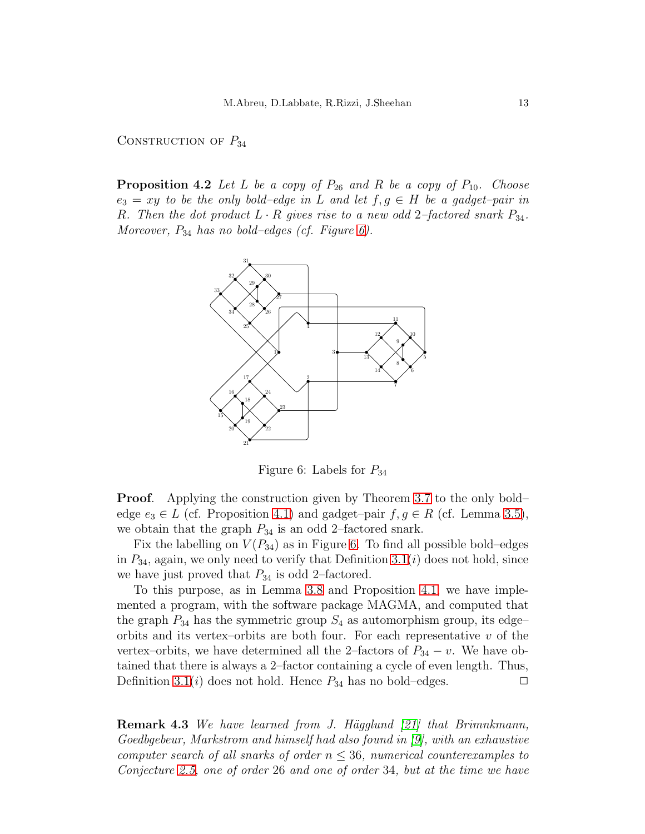#### <span id="page-12-0"></span>CONSTRUCTION OF  $P_{34}$

**Proposition 4.2** Let L be a copy of  $P_{26}$  and R be a copy of  $P_{10}$ . Choose  $e_3 = xy$  to be the only bold–edge in L and let  $f, g \in H$  be a gadget–pair in R. Then the dot product  $L \cdot R$  gives rise to a new odd 2-factored snark  $P_{34}$ . Moreover,  $P_{34}$  has no bold–edges (cf. Figure [6\)](#page-12-1).



<span id="page-12-1"></span>Figure 6: Labels for  $P_{34}$ 

Proof. Applying the construction given by Theorem [3.7](#page-7-0) to the only bold– edge  $e_3 \in L$  (cf. Proposition [4.1\)](#page-11-1) and gadget–pair  $f, g \in R$  (cf. Lemma [3.5\)](#page-6-2), we obtain that the graph  $P_{34}$  is an odd 2–factored snark.

Fix the labelling on  $V(P_{34})$  as in Figure [6.](#page-12-1) To find all possible bold–edges in  $P_{34}$ , again, we only need to verify that Definition [3.1\(](#page-5-1)i) does not hold, since we have just proved that  $P_{34}$  is odd 2–factored.

To this purpose, as in Lemma [3.8](#page-10-2) and Proposition [4.1,](#page-11-1) we have implemented a program, with the software package MAGMA, and computed that the graph  $P_{34}$  has the symmetric group  $S_4$  as automorphism group, its edgeorbits and its vertex-orbits are both four. For each representative  $v$  of the vertex–orbits, we have determined all the 2–factors of  $P_{34} - v$ . We have obtained that there is always a 2–factor containing a cycle of even length. Thus, Definition [3.1\(](#page-5-1)*i*) does not hold. Hence  $P_{34}$  has no bold–edges.

<span id="page-12-2"></span>**Remark 4.3** We have learned from J. Hägglund  $|21|$  that Brimnkmann, Goedbgebeur, Markstrom and himself had also found in [\[9\]](#page-18-12), with an exhaustive computer search of all snarks of order  $n \leq 36$ , numerical counterexamples to Conjecture [2.5,](#page-4-0) one of order 26 and one of order 34, but at the time we have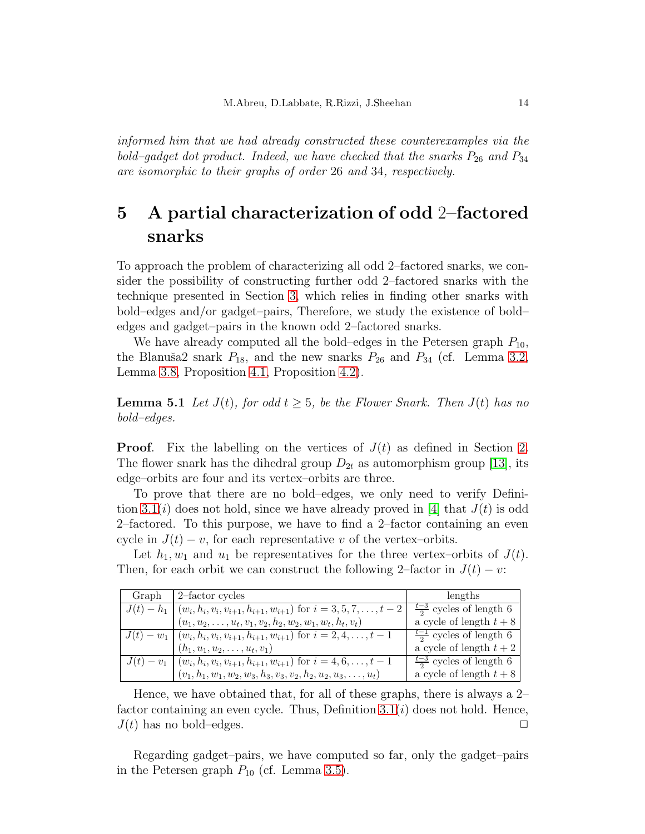informed him that we had already constructed these counterexamples via the bold–gadget dot product. Indeed, we have checked that the snarks  $P_{26}$  and  $P_{34}$ are isomorphic to their graphs of order 26 and 34, respectively.

# 5 A partial characterization of odd 2–factored snarks

To approach the problem of characterizing all odd 2–factored snarks, we consider the possibility of constructing further odd 2–factored snarks with the technique presented in Section [3,](#page-5-0) which relies in finding other snarks with bold–edges and/or gadget–pairs, Therefore, we study the existence of bold– edges and gadget–pairs in the known odd 2–factored snarks.

We have already computed all the bold–edges in the Petersen graph  $P_{10}$ , the Blanuša2 snark  $P_{18}$ , and the new snarks  $P_{26}$  and  $P_{34}$  (cf. Lemma [3.2,](#page-5-2) Lemma [3.8,](#page-10-2) Proposition [4.1,](#page-11-1) Proposition [4.2\)](#page-12-0).

<span id="page-13-0"></span>**Lemma 5.1** Let  $J(t)$ , for odd  $t \geq 5$ , be the Flower Snark. Then  $J(t)$  has no bold–edges.

**Proof.** Fix the labelling on the vertices of  $J(t)$  as defined in Section [2.](#page-2-0) The flower snark has the dihedral group  $D_{2t}$  as automorphism group [\[13\]](#page-18-13), its edge–orbits are four and its vertex–orbits are three.

To prove that there are no bold–edges, we only need to verify Defini-tion [3.1\(](#page-5-1)*i*) does not hold, since we have already proved in [\[4\]](#page-18-7) that  $J(t)$  is odd 2–factored. To this purpose, we have to find a 2–factor containing an even cycle in  $J(t) - v$ , for each representative v of the vertex–orbits.

Let  $h_1, w_1$  and  $u_1$  be representatives for the three vertex-orbits of  $J(t)$ . Then, for each orbit we can construct the following 2–factor in  $J(t) - v$ :

| Graph      | 2-factor cycles                                                                             | lengths                            |
|------------|---------------------------------------------------------------------------------------------|------------------------------------|
|            | $J(t) - h_1 \mid (w_i, h_i, v_i, v_{i+1}, h_{i+1}, w_{i+1})$ for $i = 3, 5, 7, \ldots, t-2$ | $\frac{t-3}{2}$ cycles of length 6 |
|            | $(u_1, u_2, \ldots, u_t, v_1, v_2, h_2, w_2, w_1, w_t, h_t, v_t)$                           | a cycle of length $t+8$            |
|            | $J(t) - w_1 \mid (w_i, h_i, v_i, v_{i+1}, h_{i+1}, w_{i+1})$ for $i = 2, 4, , t-1$          | $\frac{t-1}{2}$ cycles of length 6 |
|            | $(h_1, u_1, u_2, \ldots, u_t, v_1)$                                                         | a cycle of length $t+2$            |
| $J(t)-v_1$ | $(w_i, h_i, v_i, v_{i+1}, h_{i+1}, w_{i+1})$ for $i = 4, 6, \ldots, t-1$                    | $\frac{t-3}{2}$ cycles of length 6 |
|            | $(v_1, h_1, w_1, w_2, w_3, h_3, v_3, v_2, h_2, u_2, u_3, \ldots, u_t)$                      | a cycle of length $t+8$            |

Hence, we have obtained that, for all of these graphs, there is always a 2– factor containing an even cycle. Thus, Definition  $3.1(i)$  does not hold. Hence,  $J(t)$  has no bold–edges.

<span id="page-13-1"></span>Regarding gadget–pairs, we have computed so far, only the gadget–pairs in the Petersen graph  $P_{10}$  (cf. Lemma [3.5\)](#page-6-2).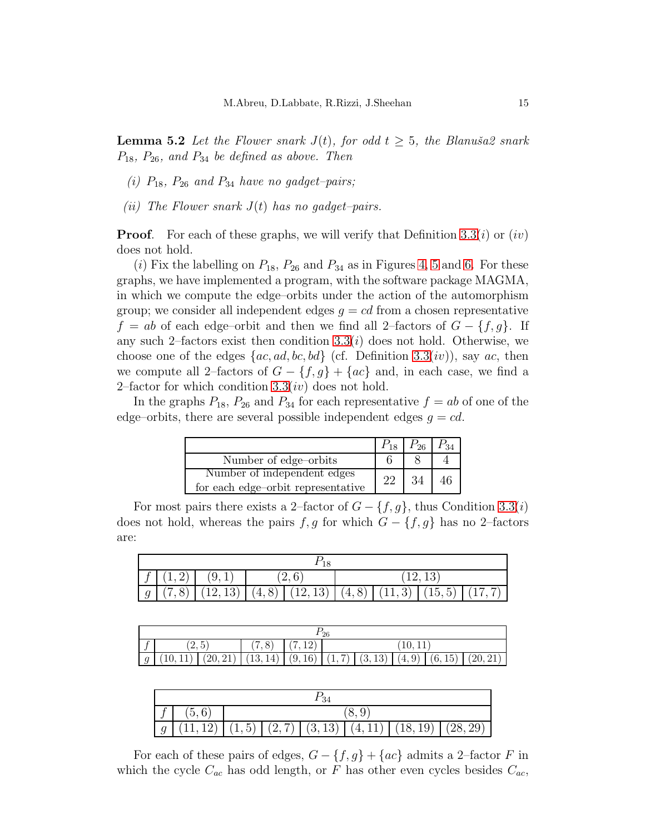**Lemma 5.2** Let the Flower snark  $J(t)$ , for odd  $t \geq 5$ , the Blanuša2 snark  $P_{18}$ ,  $P_{26}$ , and  $P_{34}$  be defined as above. Then

- (i)  $P_{18}$ ,  $P_{26}$  and  $P_{34}$  have no gadget-pairs;
- (*ii*) The Flower snark  $J(t)$  has no gadget–pairs.

**Proof.** For each of these graphs, we will verify that Definition [3.3\(](#page-6-0)*i*) or (*iv*) does not hold.

(i) Fix the labelling on  $P_{18}$ ,  $P_{26}$  and  $P_{34}$  as in Figures [4,](#page-10-1) [5](#page-11-0) and [6.](#page-12-1) For these graphs, we have implemented a program, with the software package MAGMA, in which we compute the edge–orbits under the action of the automorphism group; we consider all independent edges  $g = cd$  from a chosen representative  $f = ab$  of each edge–orbit and then we find all 2–factors of  $G - \{f, g\}$ . If any such 2–factors exist then condition  $3.3(i)$  does not hold. Otherwise, we choose one of the edges  ${ac, ad, bc, bd}$  (cf. Definition [3.3\(](#page-6-0)iv)), say ac, then we compute all 2–factors of  $G - \{f, g\} + \{ac\}$  and, in each case, we find a 2–factor for which condition  $3.3(iv)$  does not hold.

In the graphs  $P_{18}$ ,  $P_{26}$  and  $P_{34}$  for each representative  $f = ab$  of one of the edge–orbits, there are several possible independent edges  $q = cd$ .

|                                    |    | $P_{26}$ |  |
|------------------------------------|----|----------|--|
| Number of edge-orbits              |    |          |  |
| Number of independent edges        | າາ |          |  |
| for each edge-orbit representative |    |          |  |

For most pairs there exists a 2–factor of  $G - \{f, g\}$ , thus Condition [3.3\(](#page-6-0)*i*) does not hold, whereas the pairs  $f, g$  for which  $G - \{f, g\}$  has no 2–factors are:

|  | f (1,2) (9,1) |  |  | (12, 13)                                                    |  |  |  |  |  |
|--|---------------|--|--|-------------------------------------------------------------|--|--|--|--|--|
|  |               |  |  | $g (7,8) (12,13) (4,8) (12,13) (4,8) (11,3) (15,5) (17,7) $ |  |  |  |  |  |

| 26     |                                             |  |                                                                                             |  |        |  |  |  |  |
|--------|---------------------------------------------|--|---------------------------------------------------------------------------------------------|--|--------|--|--|--|--|
| $\sim$ | ′າ ⊧`<br>8)<br>(7, 12)<br>$\Delta$ , $\cup$ |  |                                                                                             |  | 10, 11 |  |  |  |  |
| q      |                                             |  | $(10, 11)   (20, 21)   (13, 14)   (9, 16)   (1, 7)   (3, 13)   (4, 9)   (6, 15)   (20, 21)$ |  |        |  |  |  |  |

|  | (5,6) |  |  |  |  |                                                                        |  |  |
|--|-------|--|--|--|--|------------------------------------------------------------------------|--|--|
|  |       |  |  |  |  | $(11, 12)$ $(1, 5)$ $(2, 7)$ $(3, 13)$ $(4, 11)$ $(18, 19)$ $(28, 29)$ |  |  |

For each of these pairs of edges,  $G - \{f, g\} + \{ac\}$  admits a 2-factor F in which the cycle  $C_{ac}$  has odd length, or F has other even cycles besides  $C_{ac}$ ,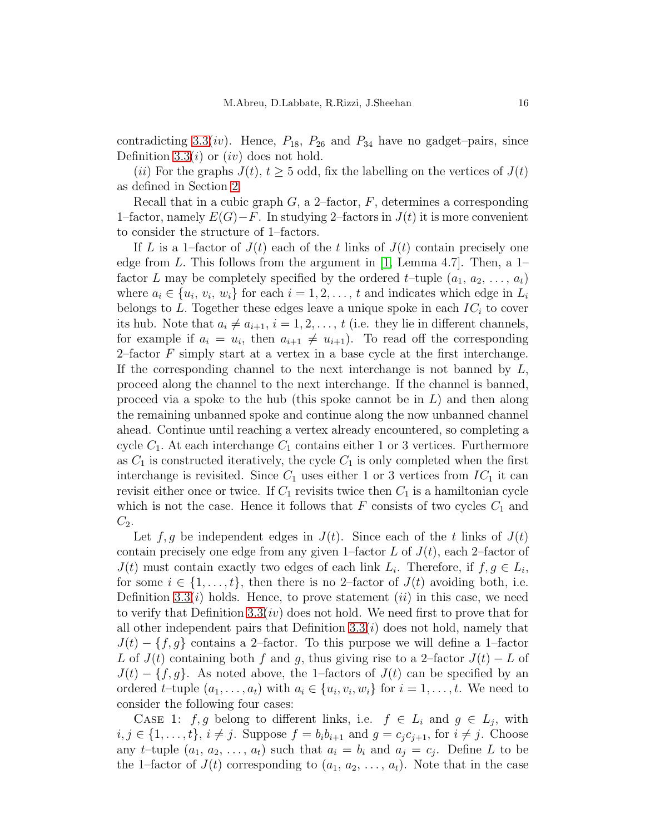contradicting [3.3\(](#page-6-0)*iv*). Hence,  $P_{18}$ ,  $P_{26}$  and  $P_{34}$  have no gadget–pairs, since Definition [3.3\(](#page-6-0)*i*) or (*iv*) does not hold.

(*ii*) For the graphs  $J(t)$ ,  $t \geq 5$  odd, fix the labelling on the vertices of  $J(t)$ as defined in Section [2.](#page-2-0)

Recall that in a cubic graph  $G$ , a 2-factor,  $F$ , determines a corresponding 1–factor, namely  $E(G) - F$ . In studying 2–factors in  $J(t)$  it is more convenient to consider the structure of 1–factors.

If L is a 1-factor of  $J(t)$  each of the t links of  $J(t)$  contain precisely one edge from L. This follows from the argument in [\[1,](#page-17-0) Lemma 4.7]. Then, a  $1$ factor L may be completely specified by the ordered t–tuple  $(a_1, a_2, \ldots, a_t)$ where  $a_i \in \{u_i, v_i, w_i\}$  for each  $i = 1, 2, ..., t$  and indicates which edge in  $L_i$ belongs to L. Together these edges leave a unique spoke in each  $IC<sub>i</sub>$  to cover its hub. Note that  $a_i \neq a_{i+1}$ ,  $i = 1, 2, \ldots, t$  (i.e. they lie in different channels, for example if  $a_i = u_i$ , then  $a_{i+1} \neq u_{i+1}$ ). To read off the corresponding 2–factor  $F$  simply start at a vertex in a base cycle at the first interchange. If the corresponding channel to the next interchange is not banned by  $L$ , proceed along the channel to the next interchange. If the channel is banned, proceed via a spoke to the hub (this spoke cannot be in  $L$ ) and then along the remaining unbanned spoke and continue along the now unbanned channel ahead. Continue until reaching a vertex already encountered, so completing a cycle  $C_1$ . At each interchange  $C_1$  contains either 1 or 3 vertices. Furthermore as  $C_1$  is constructed iteratively, the cycle  $C_1$  is only completed when the first interchange is revisited. Since  $C_1$  uses either 1 or 3 vertices from  $IC_1$  it can revisit either once or twice. If  $C_1$  revisits twice then  $C_1$  is a hamiltonian cycle which is not the case. Hence it follows that  $F$  consists of two cycles  $C_1$  and  $C_2$ .

Let  $f, g$  be independent edges in  $J(t)$ . Since each of the t links of  $J(t)$ contain precisely one edge from any given 1–factor L of  $J(t)$ , each 2–factor of  $J(t)$  must contain exactly two edges of each link  $L_i$ . Therefore, if  $f, g \in L_i$ , for some  $i \in \{1, \ldots, t\}$ , then there is no 2-factor of  $J(t)$  avoiding both, i.e. Definition [3.3\(](#page-6-0)*i*) holds. Hence, to prove statement (*ii*) in this case, we need to verify that Definition [3.3\(](#page-6-0)iv) does not hold. We need first to prove that for all other independent pairs that Definition  $3.3(i)$  does not hold, namely that  $J(t) - \{f, g\}$  contains a 2–factor. To this purpose we will define a 1–factor L of  $J(t)$  containing both f and g, thus giving rise to a 2–factor  $J(t) - L$  of  $J(t) - \{f, g\}$ . As noted above, the 1–factors of  $J(t)$  can be specified by an ordered t–tuple  $(a_1, \ldots, a_t)$  with  $a_i \in \{u_i, v_i, w_i\}$  for  $i = 1, \ldots, t$ . We need to consider the following four cases:

CASE 1:  $f, g$  belong to different links, i.e.  $f \in L_i$  and  $g \in L_j$ , with  $i, j \in \{1, \ldots, t\}, i \neq j$ . Suppose  $f = b_i b_{i+1}$  and  $g = c_i c_{i+1}$ , for  $i \neq j$ . Choose any *t*-tuple  $(a_1, a_2, \ldots, a_t)$  such that  $a_i = b_i$  and  $a_j = c_j$ . Define L to be the 1–factor of  $J(t)$  corresponding to  $(a_1, a_2, \ldots, a_t)$ . Note that in the case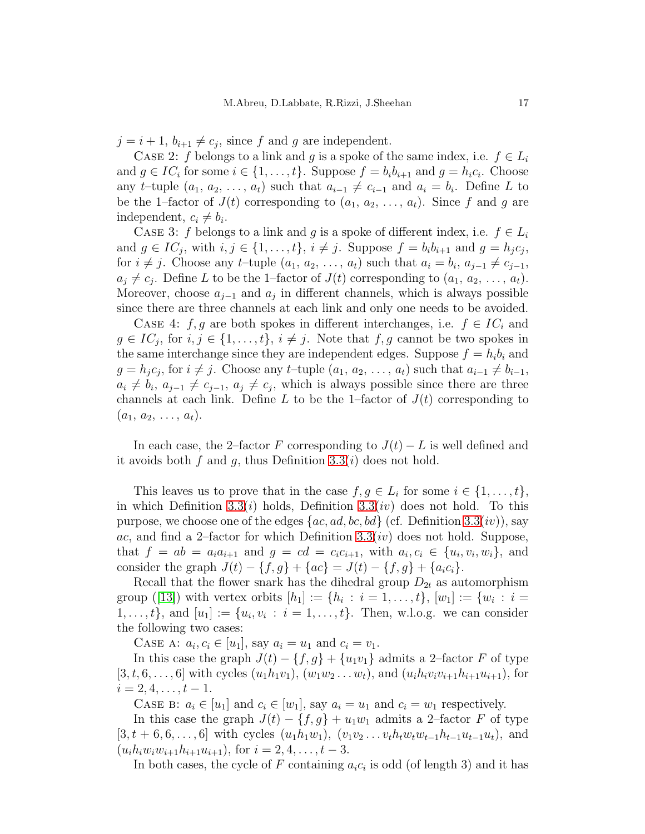$j = i + 1, b_{i+1} \neq c_j$ , since f and g are independent.

CASE 2: f belongs to a link and g is a spoke of the same index, i.e.  $f \in L_i$ and  $g \in IC_i$  for some  $i \in \{1, ..., t\}$ . Suppose  $f = b_i b_{i+1}$  and  $g = h_i c_i$ . Choose any t–tuple  $(a_1, a_2, \ldots, a_t)$  such that  $a_{i-1} \neq c_{i-1}$  and  $a_i = b_i$ . Define L to be the 1–factor of  $J(t)$  corresponding to  $(a_1, a_2, \ldots, a_t)$ . Since f and g are independent,  $c_i \neq b_i$ .

CASE 3: f belongs to a link and g is a spoke of different index, i.e.  $f \in L_i$ and  $g \in IC_j$ , with  $i, j \in \{1, ..., t\}$ ,  $i \neq j$ . Suppose  $f = b_i b_{i+1}$  and  $g = h_j c_j$ , for  $i \neq j$ . Choose any t–tuple  $(a_1, a_2, \ldots, a_t)$  such that  $a_i = b_i, a_{j-1} \neq c_{j-1}$ ,  $a_j \neq c_j$ . Define L to be the 1-factor of  $J(t)$  corresponding to  $(a_1, a_2, \ldots, a_t)$ . Moreover, choose  $a_{j-1}$  and  $a_j$  in different channels, which is always possible since there are three channels at each link and only one needs to be avoided.

CASE 4:  $f, g$  are both spokes in different interchanges, i.e.  $f \in IC_i$  and  $g \in IC_j$ , for  $i, j \in \{1, ..., t\}, i \neq j$ . Note that  $f, g$  cannot be two spokes in the same interchange since they are independent edges. Suppose  $f = h_i b_i$  and  $g = h_j c_j$ , for  $i \neq j$ . Choose any t-tuple  $(a_1, a_2, \ldots, a_t)$  such that  $a_{i-1} \neq b_{i-1}$ ,  $a_i \neq b_i, a_{j-1} \neq c_{j-1}, a_j \neq c_j$ , which is always possible since there are three channels at each link. Define L to be the 1-factor of  $J(t)$  corresponding to  $(a_1, a_2, \ldots, a_t).$ 

In each case, the 2–factor F corresponding to  $J(t) - L$  is well defined and it avoids both f and g, thus Definition  $3.3(i)$  does not hold.

This leaves us to prove that in the case  $f, g \in L_i$  for some  $i \in \{1, ..., t\}$ , in which Definition [3.3\(](#page-6-0)*i*) holds, Definition 3.3(*iv*) does not hold. To this purpose, we choose one of the edges  $\{ac, ad, bc, bd\}$  (cf. Definition [3.3\(](#page-6-0)*iv*)), say ac, and find a 2-factor for which Definition  $3.3(iv)$  does not hold. Suppose, that  $f = ab = a_i a_{i+1}$  and  $g = cd = c_i c_{i+1}$ , with  $a_i, c_i \in \{u_i, v_i, w_i\}$ , and consider the graph  $J(t) - \{f, g\} + \{ac\} = J(t) - \{f, g\} + \{a_i c_i\}.$ 

Recall that the flower snark has the dihedral group  $D_{2t}$  as automorphism group ([\[13\]](#page-18-13)) with vertex orbits  $[h_1] := \{h_i : i = 1, ..., t\}, [w_1] := \{w_i : i =$  $1, \ldots, t$ , and  $[u_1] := \{u_i, v_i : i = 1, \ldots, t\}$ . Then, w.l.o.g. we can consider the following two cases:

CASE A:  $a_i, c_i \in [u_1]$ , say  $a_i = u_1$  and  $c_i = v_1$ .

In this case the graph  $J(t) - \{f, g\} + \{u_1v_1\}$  admits a 2-factor F of type  $[3, t, 6, \ldots, 6]$  with cycles  $(u_1h_1v_1), (w_1w_2 \ldots w_t)$ , and  $(u_ih_iv_iv_{i+1}h_{i+1}u_{i+1}),$  for  $i = 2, 4, \ldots, t - 1.$ 

CASE B:  $a_i \in [u_1]$  and  $c_i \in [w_1]$ , say  $a_i = u_1$  and  $c_i = w_1$  respectively.

In this case the graph  $J(t) - \{f, g\} + u_1w_1$  admits a 2-factor F of type  $[3, t + 6, 6, \ldots, 6]$  with cycles  $(u_1h_1w_1), (v_1v_2 \ldots v_th_tw_tw_{t-1}h_{t-1}u_{t-1}u_t)$ , and  $(u_i h_i w_i w_{i+1} h_{i+1} u_{i+1}),$  for  $i = 2, 4, \ldots, t-3.$ 

In both cases, the cycle of F containing  $a_i c_i$  is odd (of length 3) and it has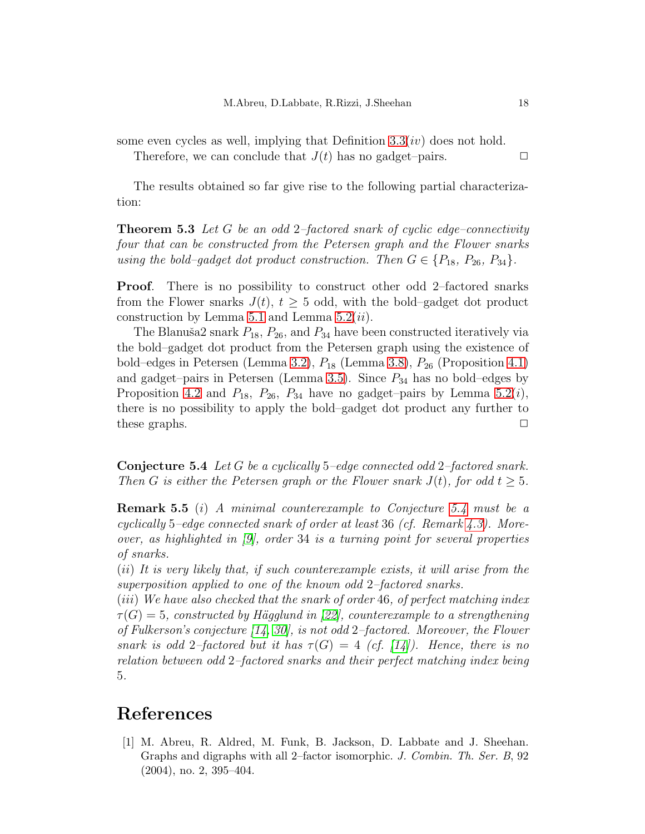some even cycles as well, implying that Definition  $3.3(iv)$  does not hold.

Therefore, we can conclude that  $J(t)$  has no gadget–pairs.  $\Box$ 

The results obtained so far give rise to the following partial characterization:

**Theorem 5.3** Let G be an odd 2-factored snark of cyclic edge-connectivity four that can be constructed from the Petersen graph and the Flower snarks using the bold–gadget dot product construction. Then  $G \in \{P_{18}, P_{26}, P_{34}\}.$ 

Proof. There is no possibility to construct other odd 2–factored snarks from the Flower snarks  $J(t)$ ,  $t > 5$  odd, with the bold–gadget dot product construction by Lemma [5.1](#page-13-0) and Lemma [5.2\(](#page-13-1)*ii*).

The Blanuša2 snark  $P_{18}$ ,  $P_{26}$ , and  $P_{34}$  have been constructed iteratively via the bold–gadget dot product from the Petersen graph using the existence of bold–edges in Petersen (Lemma [3.2\)](#page-5-2),  $P_{18}$  (Lemma [3.8\)](#page-10-2),  $P_{26}$  (Proposition [4.1\)](#page-11-1) and gadget–pairs in Petersen (Lemma [3.5\)](#page-6-2). Since  $P_{34}$  has no bold–edges by Proposition [4.2](#page-12-0) and  $P_{18}$ ,  $P_{26}$ ,  $P_{34}$  have no gadget–pairs by Lemma [5.2\(](#page-13-1)*i*), there is no possibility to apply the bold–gadget dot product any further to these graphs.  $\Box$ 

<span id="page-17-1"></span>Conjecture 5.4 Let G be a cyclically 5–edge connected odd 2–factored snark. Then G is either the Petersen graph or the Flower snark  $J(t)$ , for odd  $t \geq 5$ .

Remark 5.5 (i) A minimal counterexample to Conjecture [5.4](#page-17-1) must be a cyclically 5–edge connected snark of order at least 36 (cf. Remark [4.3\)](#page-12-2). Moreover, as highlighted in [\[9\]](#page-18-12), order 34 is a turning point for several properties of snarks.

(ii) It is very likely that, if such counterexample exists, it will arise from the superposition applied to one of the known odd 2–factored snarks.

(iii) We have also checked that the snark of order 46, of perfect matching index  $\tau(G) = 5$ , constructed by Hägglund in [\[22\]](#page-19-15), counterexample to a strengthening of Fulkerson's conjecture [\[14,](#page-18-14) [30\]](#page-19-16), is not odd 2–factored. Moreover, the Flower snark is odd 2-factored but it has  $\tau(G) = 4$  (cf. [\[14\]](#page-18-14)). Hence, there is no relation between odd 2–factored snarks and their perfect matching index being 5.

### <span id="page-17-0"></span>References

[1] M. Abreu, R. Aldred, M. Funk, B. Jackson, D. Labbate and J. Sheehan. Graphs and digraphs with all 2–factor isomorphic. J. Combin. Th. Ser. B, 92 (2004), no. 2, 395–404.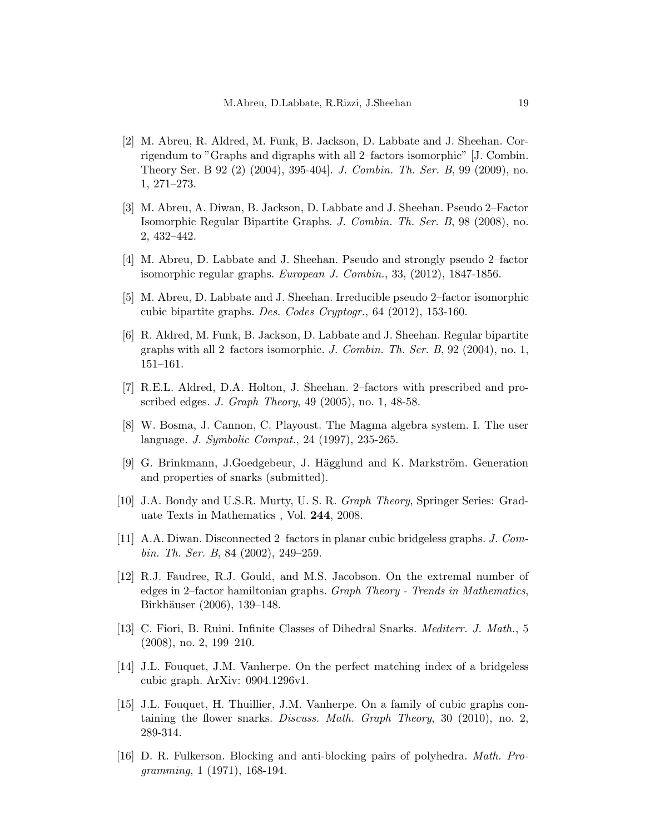- <span id="page-18-5"></span>[2] M. Abreu, R. Aldred, M. Funk, B. Jackson, D. Labbate and J. Sheehan. Corrigendum to "Graphs and digraphs with all 2–factors isomorphic" [J. Combin. Theory Ser. B 92 (2) (2004), 395-404]. J. Combin. Th. Ser. B, 99 (2009), no. 1, 271–273.
- <span id="page-18-2"></span>[3] M. Abreu, A. Diwan, B. Jackson, D. Labbate and J. Sheehan. Pseudo 2–Factor Isomorphic Regular Bipartite Graphs. J. Combin. Th. Ser. B, 98 (2008), no. 2, 432–442.
- <span id="page-18-8"></span><span id="page-18-7"></span>[4] M. Abreu, D. Labbate and J. Sheehan. Pseudo and strongly pseudo 2–factor isomorphic regular graphs. European J. Combin., 33, (2012), 1847-1856.
- <span id="page-18-4"></span>[5] M. Abreu, D. Labbate and J. Sheehan. Irreducible pseudo 2–factor isomorphic cubic bipartite graphs. Des. Codes Cryptogr., 64 (2012), 153-160.
- [6] R. Aldred, M. Funk, B. Jackson, D. Labbate and J. Sheehan. Regular bipartite graphs with all 2–factors isomorphic. J. Combin. Th. Ser. B,  $92$  (2004), no. 1, 151–161.
- <span id="page-18-9"></span>[7] R.E.L. Aldred, D.A. Holton, J. Sheehan. 2–factors with prescribed and proscribed edges. J. Graph Theory, 49 (2005), no. 1, 48-58.
- <span id="page-18-11"></span>[8] W. Bosma, J. Cannon, C. Playoust. The Magma algebra system. I. The user language. J. Symbolic Comput., 24 (1997), 235-265.
- <span id="page-18-12"></span>[9] G. Brinkmann, J.Goedgebeur, J. Hägglund and K. Markström. Generation and properties of snarks (submitted).
- <span id="page-18-3"></span><span id="page-18-0"></span>[10] J.A. Bondy and U.S.R. Murty, U. S. R. Graph Theory, Springer Series: Graduate Texts in Mathematics , Vol. 244, 2008.
- [11] A.A. Diwan. Disconnected 2–factors in planar cubic bridgeless graphs. J. Combin. Th. Ser. B, 84 (2002), 249–259.
- <span id="page-18-6"></span>[12] R.J. Faudree, R.J. Gould, and M.S. Jacobson. On the extremal number of edges in 2–factor hamiltonian graphs. Graph Theory - Trends in Mathematics, Birkhäuser (2006), 139–148.
- <span id="page-18-13"></span>[13] C. Fiori, B. Ruini. Infinite Classes of Dihedral Snarks. Mediterr. J. Math., 5 (2008), no. 2, 199–210.
- <span id="page-18-14"></span>[14] J.L. Fouquet, J.M. Vanherpe. On the perfect matching index of a bridgeless cubic graph. ArXiv: 0904.1296v1.
- <span id="page-18-10"></span>[15] J.L. Fouquet, H. Thuillier, J.M. Vanherpe. On a family of cubic graphs containing the flower snarks. Discuss. Math. Graph Theory, 30 (2010), no. 2, 289-314.
- <span id="page-18-1"></span>[16] D. R. Fulkerson. Blocking and anti-blocking pairs of polyhedra. Math. Programming, 1 (1971), 168-194.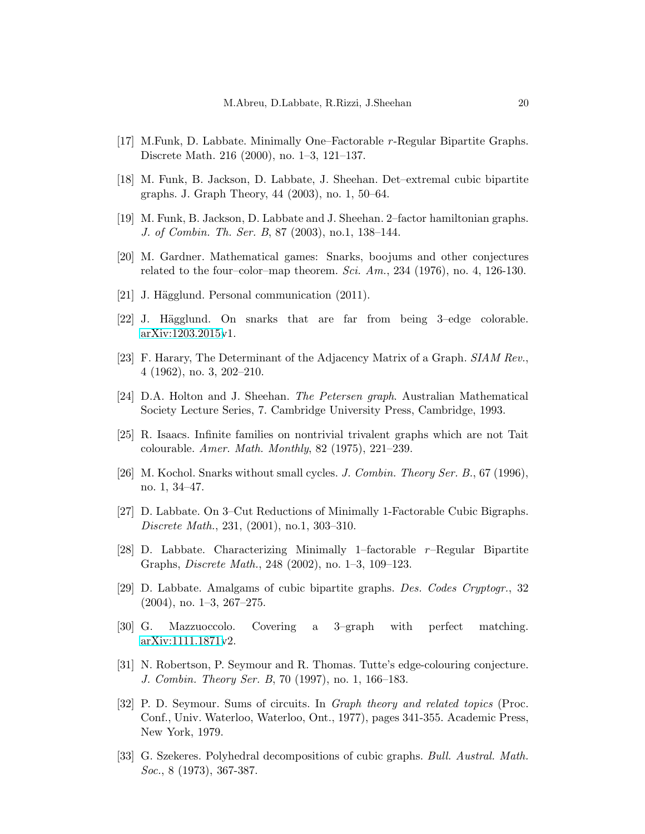- <span id="page-19-9"></span><span id="page-19-6"></span>[17] M.Funk, D. Labbate. Minimally One–Factorable r-Regular Bipartite Graphs. Discrete Math. 216 (2000), no. 1–3, 121–137.
- <span id="page-19-5"></span>[18] M. Funk, B. Jackson, D. Labbate, J. Sheehan. Det–extremal cubic bipartite graphs. J. Graph Theory, 44 (2003), no. 1, 50–64.
- <span id="page-19-1"></span>[19] M. Funk, B. Jackson, D. Labbate and J. Sheehan. 2–factor hamiltonian graphs. J. of Combin. Th. Ser. B, 87 (2003), no.1, 138–144.
- <span id="page-19-14"></span>[20] M. Gardner. Mathematical games: Snarks, boojums and other conjectures related to the four–color–map theorem. Sci. Am., 234 (1976), no. 4, 126-130.
- <span id="page-19-15"></span>[21] J. Hägglund. Personal communication (2011).
- <span id="page-19-13"></span>[22] J. Hägglund. On snarks that are far from being 3-edge colorable. [arXiv:1203.2015v](http://arxiv.org/abs/1203.2015)1.
- <span id="page-19-0"></span>[23] F. Harary, The Determinant of the Adjacency Matrix of a Graph. SIAM Rev., 4 (1962), no. 3, 202–210.
- <span id="page-19-11"></span>[24] D.A. Holton and J. Sheehan. The Petersen graph. Australian Mathematical Society Lecture Series, 7. Cambridge University Press, Cambridge, 1993.
- <span id="page-19-12"></span>[25] R. Isaacs. Infinite families on nontrivial trivalent graphs which are not Tait colourable. Amer. Math. Monthly, 82 (1975), 221–239.
- <span id="page-19-7"></span>[26] M. Kochol. Snarks without small cycles. J. Combin. Theory Ser. B., 67 (1996), no. 1, 34–47.
- <span id="page-19-8"></span>[27] D. Labbate. On 3–Cut Reductions of Minimally 1-Factorable Cubic Bigraphs. Discrete Math., 231, (2001), no.1, 303–310.
- [28] D. Labbate. Characterizing Minimally 1-factorable  $r$ -Regular Bipartite Graphs, Discrete Math., 248 (2002), no. 1–3, 109–123.
- <span id="page-19-16"></span><span id="page-19-10"></span>[29] D. Labbate. Amalgams of cubic bipartite graphs. Des. Codes Cryptogr., 32 (2004), no. 1–3, 267–275.
- <span id="page-19-2"></span>[30] G. Mazzuoccolo. Covering a 3–graph with perfect matching. [arXiv:1111.1871v](http://arxiv.org/abs/1111.1871)2.
- [31] N. Robertson, P. Seymour and R. Thomas. Tutte's edge-colouring conjecture. J. Combin. Theory Ser. B, 70 (1997), no. 1, 166–183.
- <span id="page-19-3"></span>[32] P. D. Seymour. Sums of circuits. In Graph theory and related topics (Proc. Conf., Univ. Waterloo, Waterloo, Ont., 1977), pages 341-355. Academic Press, New York, 1979.
- <span id="page-19-4"></span>[33] G. Szekeres. Polyhedral decompositions of cubic graphs. Bull. Austral. Math. Soc., 8 (1973), 367-387.